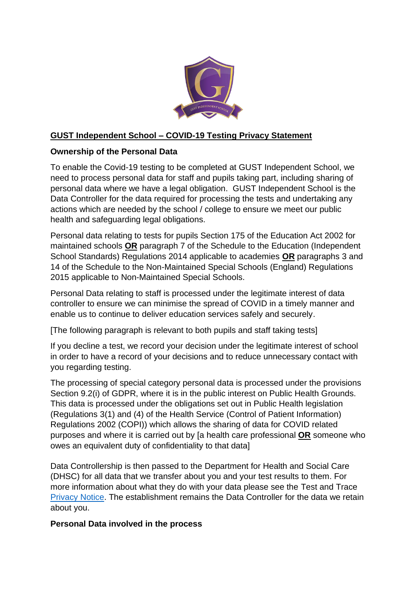

### **GUST Independent School – COVID-19 Testing Privacy Statement**

### **Ownership of the Personal Data**

To enable the Covid-19 testing to be completed at GUST Independent School, we need to process personal data for staff and pupils taking part, including sharing of personal data where we have a legal obligation. GUST Independent School is the Data Controller for the data required for processing the tests and undertaking any actions which are needed by the school / college to ensure we meet our public health and safeguarding legal obligations.

Personal data relating to tests for pupils Section 175 of the Education Act 2002 for maintained schools **OR** paragraph 7 of the Schedule to the Education (Independent School Standards) Regulations 2014 applicable to academies **OR** paragraphs 3 and 14 of the Schedule to the Non-Maintained Special Schools (England) Regulations 2015 applicable to Non-Maintained Special Schools.

Personal Data relating to staff is processed under the legitimate interest of data controller to ensure we can minimise the spread of COVID in a timely manner and enable us to continue to deliver education services safely and securely.

[The following paragraph is relevant to both pupils and staff taking tests]

If you decline a test, we record your decision under the legitimate interest of school in order to have a record of your decisions and to reduce unnecessary contact with you regarding testing.

The processing of special category personal data is processed under the provisions Section 9.2(i) of GDPR, where it is in the public interest on Public Health Grounds. This data is processed under the obligations set out in Public Health legislation (Regulations 3(1) and (4) of the Health Service (Control of Patient Information) Regulations 2002 (COPI)) which allows the sharing of data for COVID related purposes and where it is carried out by [a health care professional **OR** someone who owes an equivalent duty of confidentiality to that data]

Data Controllership is then passed to the Department for Health and Social Care (DHSC) for all data that we transfer about you and your test results to them. For more information about what they do with your data please see the Test and Trace [Privacy Notice.](https://contact-tracing.phe.gov.uk/help/privacy-notice) The establishment remains the Data Controller for the data we retain about you.

### **Personal Data involved in the process**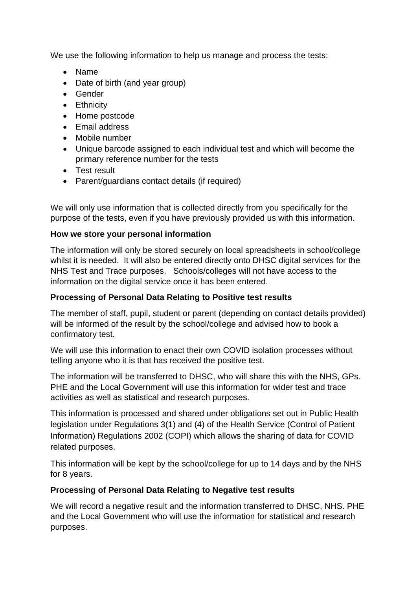We use the following information to help us manage and process the tests:

- Name
- Date of birth (and year group)
- Gender
- Ethnicity
- Home postcode
- Email address
- Mobile number
- Unique barcode assigned to each individual test and which will become the primary reference number for the tests
- Test result
- Parent/guardians contact details (if required)

We will only use information that is collected directly from you specifically for the purpose of the tests, even if you have previously provided us with this information.

## **How we store your personal information**

The information will only be stored securely on local spreadsheets in school/college whilst it is needed. It will also be entered directly onto DHSC digital services for the NHS Test and Trace purposes. Schools/colleges will not have access to the information on the digital service once it has been entered.

# **Processing of Personal Data Relating to Positive test results**

The member of staff, pupil, student or parent (depending on contact details provided) will be informed of the result by the school/college and advised how to book a confirmatory test.

We will use this information to enact their own COVID isolation processes without telling anyone who it is that has received the positive test.

The information will be transferred to DHSC, who will share this with the NHS, GPs. PHE and the Local Government will use this information for wider test and trace activities as well as statistical and research purposes.

This information is processed and shared under obligations set out in Public Health legislation under Regulations 3(1) and (4) of the Health Service (Control of Patient Information) Regulations 2002 (COPI) which allows the sharing of data for COVID related purposes.

This information will be kept by the school/college for up to 14 days and by the NHS for 8 years.

# **Processing of Personal Data Relating to Negative test results**

We will record a negative result and the information transferred to DHSC, NHS. PHE and the Local Government who will use the information for statistical and research purposes.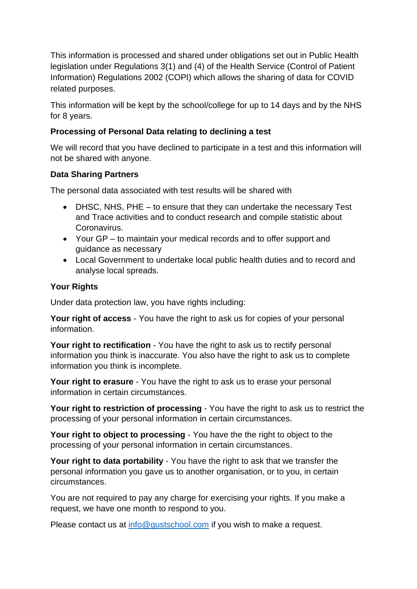This information is processed and shared under obligations set out in Public Health legislation under Regulations 3(1) and (4) of the Health Service (Control of Patient Information) Regulations 2002 (COPI) which allows the sharing of data for COVID related purposes.

This information will be kept by the school/college for up to 14 days and by the NHS for 8 years.

## **Processing of Personal Data relating to declining a test**

We will record that you have declined to participate in a test and this information will not be shared with anyone.

### **Data Sharing Partners**

The personal data associated with test results will be shared with

- DHSC, NHS, PHE to ensure that they can undertake the necessary Test and Trace activities and to conduct research and compile statistic about Coronavirus.
- Your GP to maintain your medical records and to offer support and guidance as necessary
- Local Government to undertake local public health duties and to record and analyse local spreads.

## **Your Rights**

Under data protection law, you have rights including:

**Your right of access** - You have the right to ask us for copies of your personal information.

**Your right to rectification** - You have the right to ask us to rectify personal information you think is inaccurate. You also have the right to ask us to complete information you think is incomplete.

**Your right to erasure** - You have the right to ask us to erase your personal information in certain circumstances.

**Your right to restriction of processing** - You have the right to ask us to restrict the processing of your personal information in certain circumstances.

**Your right to object to processing** - You have the the right to object to the processing of your personal information in certain circumstances.

**Your right to data portability** - You have the right to ask that we transfer the personal information you gave us to another organisation, or to you, in certain circumstances.

You are not required to pay any charge for exercising your rights. If you make a request, we have one month to respond to you.

Please contact us at [info@gustschool.com](mailto:info@gustschool.com) if you wish to make a request.